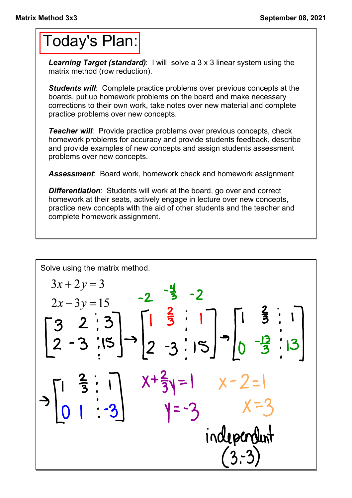## Today's Plan:

**Learning Target (standard):** I will solve a 3 x 3 linear system using the matrix method (row reduction).

*Students will:* Complete practice problems over previous concepts at the boards, put up homework problems on the board and make necessary corrections to their own work, take notes over new material and complete practice problems over new concepts.

*Teacher will:* Provide practice problems over previous concepts, check homework problems for accuracy and provide students feedback, describe and provide examples of new concepts and assign students assessment problems over new concepts.

*Assessment*: Board work, homework check and homework assignment

*Differentiation*: Students will work at the board, go over and correct homework at their seats, actively engage in lecture over new concepts, practice new concepts with the aid of other students and the teacher and complete homework assignment.

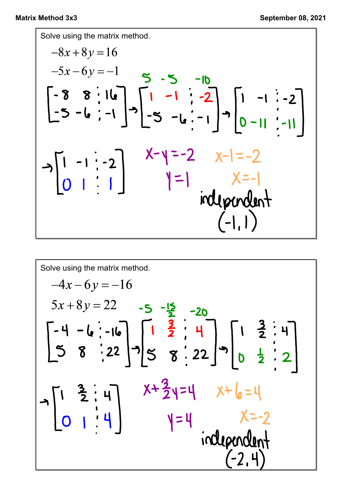Solve using the matrix method.  
\n
$$
-8x + 8y = 16
$$
\n
$$
-5x - 6y = -1
$$
\n
$$
\begin{bmatrix} -8 & 8 & \cdot & 16 \\ -5 & -6 & \cdot & -1 \end{bmatrix} - \begin{bmatrix} 1 & -1 & \cdot & -2 \\ -5 & -6 & \cdot & -1 \end{bmatrix} - \begin{bmatrix} 1 & -1 & \cdot & -2 \\ -5 & -6 & \cdot & -1 \end{bmatrix}
$$
\n
$$
x - y = -2
$$
\n
$$
x - 1 = -2
$$
\n
$$
y = 1
$$
\n
$$
x = -1
$$
\n
$$
y = -1
$$
\n
$$
y = -1
$$
\n
$$
y = -1
$$
\n
$$
y = -1
$$
\n
$$
y = -1
$$
\n
$$
y = -1
$$
\n
$$
y = -1
$$
\n
$$
y = -1
$$
\n
$$
y = -1
$$
\n
$$
y = -1
$$
\n
$$
y = -1
$$
\n
$$
y = -1
$$
\n
$$
y = -1
$$
\n
$$
y = -1
$$

Solve using the matrix method.  
\n
$$
-4x-6y = -16
$$
  
\n $5x+8y = 22$  -5 - $\frac{15}{2}$  -20  
\n $\begin{bmatrix} -4 & -6 & -16 \\ 5 & 8 & -22 \end{bmatrix} -3 \begin{bmatrix} 1 & \frac{3}{2} & \frac{3}{2} & \frac{1}{2} \\ 5 & 8 & -22 \end{bmatrix} -3 \begin{bmatrix} 1 & \frac{3}{2} & \frac{3}{2} & \frac{1}{2} \\ 0 & \frac{1}{2} & \frac{3}{2} & \frac{1}{2} \end{bmatrix}$   
\n $\rightarrow$   $\begin{bmatrix} 1 & \frac{3}{2} & \frac{1}{2} & \frac{1}{2} \\ 0 & 1 & \frac{1}{2} & \frac{1}{2} \end{bmatrix}$   $x + \frac{3}{2}y = 4$   $x + \frac{1}{6} = 4$   
\n $y = 4$   $x = -2$   
\n $\frac{1}{2}(2, 4)$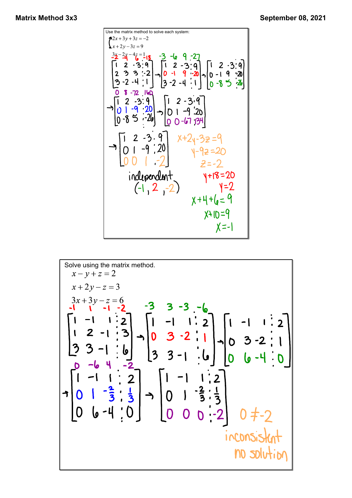Use the matrix method to solve each system:  
\n
$$
\begin{bmatrix}\n\frac{1}{2}x+3y+3z = -2 \\
x+2y-3z = 9\n\end{bmatrix}
$$
\n
$$
\begin{bmatrix}\n2-3 & 9 \\
2 & 3 & 2 \\
2 & 3 & 3\n\end{bmatrix}\n\begin{bmatrix}\n1 & 2 & -3 & 9 \\
1 & 2 & -3 & 9 \\
0 & -1 & 9 & -20 \\
3 & -2 & -4 & 1\n\end{bmatrix}\n\begin{bmatrix}\n1 & 2 & -3 & 9 \\
0 & -1 & 9 & -20 \\
0 & -8 & 5 & -2\n\end{bmatrix}
$$
\n
$$
\begin{bmatrix}\n1 & 2 & -3 & 9 \\
0 & -1 & 9 & -20 \\
0 & 8 & 5 & -20\n\end{bmatrix}\n\begin{bmatrix}\n1 & 2 & -3 & 9 \\
0 & -1 & 9 & -20 \\
0 & 8 & 5 & -20\n\end{bmatrix}
$$
\n
$$
\begin{bmatrix}\n1 & 2 & -3 & 9 \\
0 & 1 & -9 & -20 \\
0 & 0 & -6 & 7\n\end{bmatrix}\n\begin{bmatrix}\n1 & 2 & -3 & 9 \\
0 & 1 & -9 & -20 \\
0 & 0 & -6 & 7\n\end{bmatrix}
$$
\n
$$
\begin{bmatrix}\n1 & 2 & -3 & 9 \\
0 & 1 & -9 & -20 \\
0 & 0 & 1 & -2\n\end{bmatrix}\n\begin{bmatrix}\n1 & 2 & -3 & 9 \\
0 & 1 & -9 & -20 \\
0 & 0 & 1 & -2\n\end{bmatrix}\n\begin{bmatrix}\n1 & 2 & -3 & 9 \\
0 & 1 & -9 & -20 \\
0 & 0 & 1 & -2\n\end{bmatrix}
$$
\n
$$
\begin{bmatrix}\n1 & 2 & -3 & 9 \\
0 & 1 & -9 & -20 \\
0 & 0 & 1 & -2\n\end{bmatrix}\n\begin{bmatrix}\n1 & 2 & -3 & 9 \\
0 & 1 & -9 & -20 \\
0 & 0 & 1 & -9\n\end{bmatrix}\n\begin{bmatrix}\n2 & -3 & 9 \\
2 & -2 & 1 \\
0 & 0 & 1\n\end{bmatrix}
$$
\n
$$
\begin{bmatrix}\n1 & 2 & -3 & 9 \\
0 & 1 & -9 & -20 \\
0 & 0 & 1 & -9\n\end{bmatrix}\
$$

Solve using the matrix method.  
\n
$$
x-y+z=2
$$
  
\n $x+2y-z=3$   
\n $3x+3y-z=6$   
\n $1$   $1$   $2$   $-1$   $3$   $3$   $-3$   $-6$   
\n $1$   $2$   $-1$   $3$   $-1$   $0$   $3$   $-2$   $1$   
\n $2$   $3$   $-1$   $0$   $3$   $-2$   $1$   
\n $3$   $3$   $-1$   $0$   $3$   $-2$   $1$   
\n $3$   $3$   $-1$   $0$   $0$   $3$   $-2$   $1$   
\n $0$   $3$   $-2$   $1$   
\n $0$   $0$   $-4$   $0$   
\n $0$   $0$   $0$   $0$   $0$   $0$   $0$   $0$   $0$   $0$   $0$   $0$   $0$   $0$   $0$   $0$   $0$   $0$   $0$   $0$   $0$   $0$   $0$   $0$   $0$   $0$   $0$   $0$   $0$   $0$   $0$   $0$   $0$   $0$   $0$   $0$   $0$   $0$   $0$   $0$   $0$   $0$   $0$   $0$   $0$   $0$   $0$   $0$   $0$   $0$   $0$   $$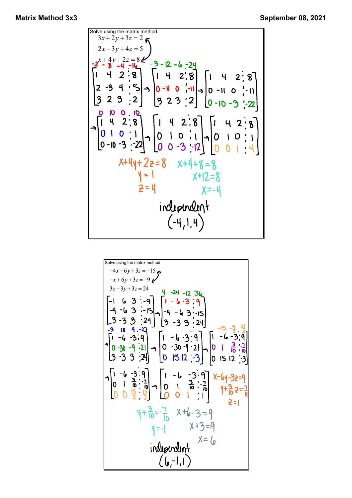Solve using the matrix method.  
\n
$$
3x + 2y + 3z = 2
$$
\n
$$
2x - 3y + 4z = 5
$$
\n
$$
-2x + 4y + 2z = 8
$$
\n
$$
-3 - 12 - 4 - 24
$$
\n
$$
-4 - 14 = 14
$$
\n
$$
-14 - 2 + 8
$$
\n
$$
-3 - 12 - 4 - 24
$$
\n
$$
-3 - 12 - 4 - 24
$$
\n
$$
0 - 11 - 0 - 11
$$
\n
$$
0 - 11 - 0 - 11
$$
\n
$$
-11 - 0 - 3 - 22
$$
\n
$$
-11 - 0 - 3 - 22
$$
\n
$$
-11 - 0 - 3 - 22
$$
\n
$$
-11 - 0 - 3 - 22
$$
\n
$$
-11 - 0 - 3 - 22
$$
\n
$$
-11 - 0 - 3 - 22
$$
\n
$$
-11 - 0 - 3 - 22
$$
\n
$$
-11 - 0 - 3 - 22
$$
\n
$$
-11 - 0 - 3 - 22
$$
\n
$$
-11 - 0 - 3 - 22
$$
\n
$$
-11 - 0 - 3 - 22
$$
\n
$$
-11 - 0 - 3 - 22
$$
\n
$$
-11 - 0 - 3 - 22
$$
\n
$$
-11 - 0 - 3 - 22
$$
\n
$$
-11 - 0 - 3 - 22
$$
\n
$$
-11 - 0 - 3 - 22
$$
\n
$$
-11 - 0 - 3 - 22
$$
\n
$$
-11 - 0 - 3 - 22
$$
\n
$$
-11 - 0 - 3 - 22
$$
\n
$$
-11 - 0 - 3 - 22
$$
\n
$$
-11 - 0 - 3 - 22
$$
\n
$$
-11 - 0 - 3 - 22
$$
\n
$$
-12 - 0 - 3 - 24
$$
\n<math display="</p>

Solve using the matrix method.  
\n
$$
-4x-6y+3z = -15
$$
\n
$$
-x+6y+3z = -9
$$
\n
$$
3x-3y+3z = 24
$$
\n
$$
3x-3y+3z = 24
$$
\n
$$
-14 - 6x - 3
$$
\n
$$
-3
$$
\n
$$
-3
$$
\n
$$
-3
$$
\n
$$
-3
$$
\n
$$
-3
$$
\n
$$
-3
$$
\n
$$
-3
$$
\n
$$
-3
$$
\n
$$
-3
$$
\n
$$
-3
$$
\n
$$
-3
$$
\n
$$
-3
$$
\n
$$
-3
$$
\n
$$
-3
$$
\n
$$
-3
$$
\n
$$
-3
$$
\n
$$
-3
$$
\n
$$
-3
$$
\n
$$
-3
$$
\n
$$
-3
$$
\n
$$
-3
$$
\n
$$
-3
$$
\n
$$
-3
$$
\n
$$
-3
$$
\n
$$
-3
$$
\n
$$
-3
$$
\n
$$
-3
$$
\n
$$
-3
$$
\n
$$
-3
$$
\n
$$
-3
$$
\n
$$
-3
$$
\n
$$
-3
$$
\n
$$
-3
$$
\n
$$
-3
$$
\n
$$
-3
$$
\n
$$
-3
$$
\n
$$
-3
$$
\n
$$
-3
$$
\n
$$
-3
$$
\n
$$
-3
$$
\n
$$
-3
$$
\n
$$
-3
$$
\n
$$
-3
$$
\n
$$
-3
$$
\n
$$
-3
$$
\n
$$
-3
$$
\n
$$
-3
$$
\n
$$
-3
$$
\n
$$
-3
$$
\n
$$
-3
$$
\n
$$
-3
$$
\n
$$
-3
$$
\n
$$
-3
$$
\n
$$
-3
$$
\